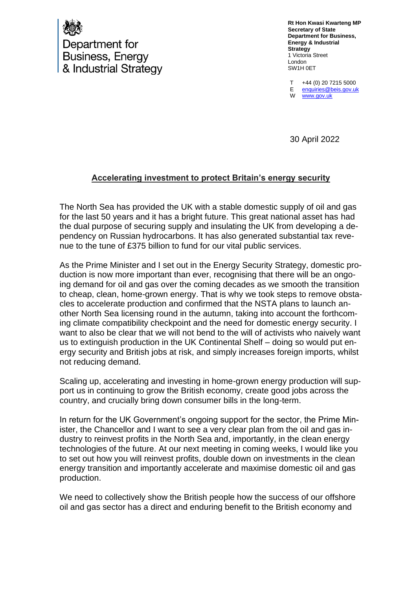

Department for **Business, Energy** & Industrial Strategy **Rt Hon Kwasi Kwarteng MP Secretary of State Department for Business, Energy & Industrial Strategy** 1 Victoria Street London SW1H 0ET

T E W +44 (0) 20 7215 5000 [enquiries@beis.gov.uk](mailto:enquiries@beis.gov.uk)  [www.gov.uk](http://www.gov.uk/)

30 April 2022

## **Accelerating investment to protect Britain's energy security**

The North Sea has provided the UK with a stable domestic supply of oil and gas for the last 50 years and it has a bright future. This great national asset has had the dual purpose of securing supply and insulating the UK from developing a dependency on Russian hydrocarbons. It has also generated substantial tax revenue to the tune of £375 billion to fund for our vital public services.

As the Prime Minister and I set out in the Energy Security Strategy, domestic production is now more important than ever, recognising that there will be an ongoing demand for oil and gas over the coming decades as we smooth the transition to cheap, clean, home-grown energy. That is why we took steps to remove obstacles to accelerate production and confirmed that the NSTA plans to launch another North Sea licensing round in the autumn, taking into account the forthcoming climate compatibility checkpoint and the need for domestic energy security. I want to also be clear that we will not bend to the will of activists who naively want us to extinguish production in the UK Continental Shelf – doing so would put energy security and British jobs at risk, and simply increases foreign imports, whilst not reducing demand.

Scaling up, accelerating and investing in home-grown energy production will support us in continuing to grow the British economy, create good jobs across the country, and crucially bring down consumer bills in the long-term.

In return for the UK Government's ongoing support for the sector, the Prime Minister, the Chancellor and I want to see a very clear plan from the oil and gas industry to reinvest profits in the North Sea and, importantly, in the clean energy technologies of the future. At our next meeting in coming weeks, I would like you to set out how you will reinvest profits, double down on investments in the clean energy transition and importantly accelerate and maximise domestic oil and gas production.

We need to collectively show the British people how the success of our offshore oil and gas sector has a direct and enduring benefit to the British economy and